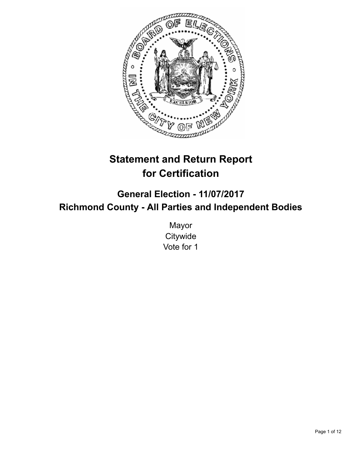

# **Statement and Return Report for Certification**

**General Election - 11/07/2017 Richmond County - All Parties and Independent Bodies**

> Mayor **Citywide** Vote for 1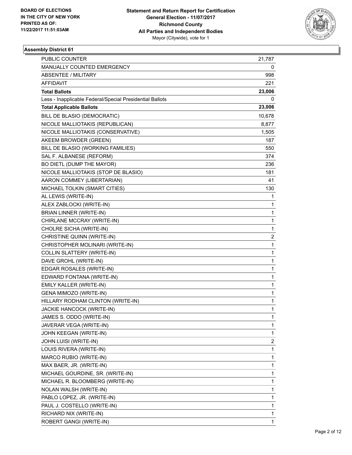

| <b>PUBLIC COUNTER</b>                                    | 21,787 |
|----------------------------------------------------------|--------|
| MANUALLY COUNTED EMERGENCY                               | 0      |
| <b>ABSENTEE / MILITARY</b>                               | 998    |
| AFFIDAVIT                                                | 221    |
| <b>Total Ballots</b>                                     | 23,006 |
| Less - Inapplicable Federal/Special Presidential Ballots | 0      |
| <b>Total Applicable Ballots</b>                          | 23,006 |
| BILL DE BLASIO (DEMOCRATIC)                              | 10,678 |
| NICOLE MALLIOTAKIS (REPUBLICAN)                          | 8,877  |
| NICOLE MALLIOTAKIS (CONSERVATIVE)                        | 1,505  |
| AKEEM BROWDER (GREEN)                                    | 187    |
| BILL DE BLASIO (WORKING FAMILIES)                        | 550    |
| SAL F. ALBANESE (REFORM)                                 | 374    |
| BO DIETL (DUMP THE MAYOR)                                | 236    |
| NICOLE MALLIOTAKIS (STOP DE BLASIO)                      | 181    |
| AARON COMMEY (LIBERTARIAN)                               | 41     |
| MICHAEL TOLKIN (SMART CITIES)                            | 130    |
| AL LEWIS (WRITE-IN)                                      | 1      |
| ALEX ZABLOCKI (WRITE-IN)                                 | 1      |
| <b>BRIAN LINNER (WRITE-IN)</b>                           | 1      |
| CHIRLANE MCCRAY (WRITE-IN)                               | 1      |
| CHOLRE SICHA (WRITE-IN)                                  | 1      |
| CHRISTINE QUINN (WRITE-IN)                               | 2      |
| CHRISTOPHER MOLINARI (WRITE-IN)                          | 1      |
| COLLIN SLATTERY (WRITE-IN)                               | 1      |
| DAVE GROHL (WRITE-IN)                                    | 1      |
| EDGAR ROSALES (WRITE-IN)                                 | 1      |
| EDWARD FONTANA (WRITE-IN)                                | 1      |
| EMILY KALLER (WRITE-IN)                                  | 1      |
| GENA MIMOZO (WRITE-IN)                                   | 1      |
| HILLARY RODHAM CLINTON (WRITE-IN)                        | 1      |
| JACKIE HANCOCK (WRITE-IN)                                | 1      |
| JAMES S. ODDO (WRITE-IN)                                 | 1      |
| JAVERAR VEGA (WRITE-IN)                                  | 1      |
| JOHN KEEGAN (WRITE-IN)                                   | 1      |
| JOHN LUISI (WRITE-IN)                                    | 2      |
| LOUIS RIVERA (WRITE-IN)                                  | 1      |
| MARCO RUBIO (WRITE-IN)                                   | 1      |
| MAX BAER, JR. (WRITE-IN)                                 | 1      |
| MICHAEL GOURDINE, SR. (WRITE-IN)                         | 1      |
| MICHAEL R. BLOOMBERG (WRITE-IN)                          | 1      |
| NOLAN WALSH (WRITE-IN)                                   | 1      |
| PABLO LOPEZ, JR. (WRITE-IN)                              | 1      |
| PAUL J. COSTELLO (WRITE-IN)                              | 1      |
| RICHARD NIX (WRITE-IN)                                   | 1      |
| ROBERT GANGI (WRITE-IN)                                  | 1      |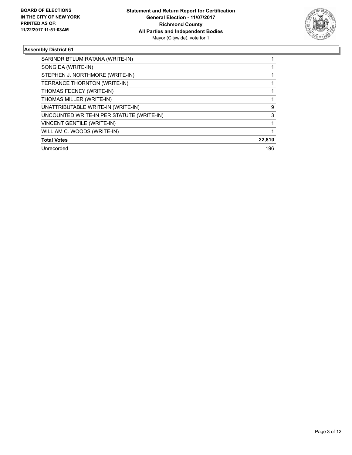

| SARINDR BTLUMIRATANA (WRITE-IN)           |        |
|-------------------------------------------|--------|
| SONG DA (WRITE-IN)                        |        |
| STEPHEN J. NORTHMORE (WRITE-IN)           |        |
| TERRANCE THORNTON (WRITE-IN)              |        |
| THOMAS FEENEY (WRITE-IN)                  |        |
| THOMAS MILLER (WRITE-IN)                  |        |
| UNATTRIBUTABLE WRITE-IN (WRITE-IN)        | 9      |
| UNCOUNTED WRITE-IN PER STATUTE (WRITE-IN) | 3      |
| <b>VINCENT GENTILE (WRITE-IN)</b>         |        |
| WILLIAM C. WOODS (WRITE-IN)               |        |
| <b>Total Votes</b>                        | 22,810 |
| Unrecorded                                | 196    |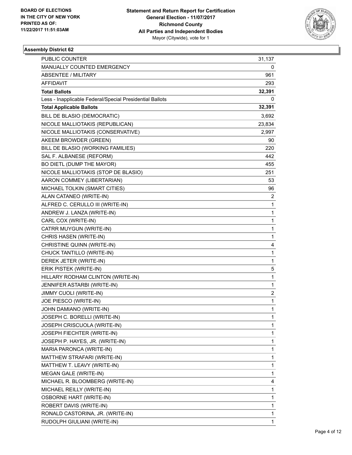

| <b>PUBLIC COUNTER</b>                                    | 31,137 |
|----------------------------------------------------------|--------|
| MANUALLY COUNTED EMERGENCY                               | 0      |
| <b>ABSENTEE / MILITARY</b>                               | 961    |
| <b>AFFIDAVIT</b>                                         | 293    |
| <b>Total Ballots</b>                                     | 32,391 |
| Less - Inapplicable Federal/Special Presidential Ballots | 0      |
| <b>Total Applicable Ballots</b>                          | 32,391 |
| BILL DE BLASIO (DEMOCRATIC)                              | 3,692  |
| NICOLE MALLIOTAKIS (REPUBLICAN)                          | 23,834 |
| NICOLE MALLIOTAKIS (CONSERVATIVE)                        | 2,997  |
| AKEEM BROWDER (GREEN)                                    | 90     |
| BILL DE BLASIO (WORKING FAMILIES)                        | 220    |
| SAL F. ALBANESE (REFORM)                                 | 442    |
| BO DIETL (DUMP THE MAYOR)                                | 455    |
| NICOLE MALLIOTAKIS (STOP DE BLASIO)                      | 251    |
| AARON COMMEY (LIBERTARIAN)                               | 53     |
| MICHAEL TOLKIN (SMART CITIES)                            | 96     |
| ALAN CATANEO (WRITE-IN)                                  | 2      |
| ALFRED C. CERULLO III (WRITE-IN)                         | 1      |
| ANDREW J. LANZA (WRITE-IN)                               | 1      |
| CARL COX (WRITE-IN)                                      | 1      |
| CATRR MUYGUN (WRITE-IN)                                  | 1      |
| CHRIS HASEN (WRITE-IN)                                   | 1      |
| CHRISTINE QUINN (WRITE-IN)                               | 4      |
| CHUCK TANTILLO (WRITE-IN)                                | 1      |
| DEREK JETER (WRITE-IN)                                   | 1      |
| ERIK PISTEK (WRITE-IN)                                   | 5      |
| HILLARY RODHAM CLINTON (WRITE-IN)                        | 1      |
| JENNIFER ASTARBI (WRITE-IN)                              | 1      |
| JIMMY CUOLI (WRITE-IN)                                   | 2      |
| JOE PIESCO (WRITE-IN)                                    | 1      |
| JOHN DAMIANO (WRITE-IN)                                  | 1      |
| JOSEPH C. BORELLI (WRITE-IN)                             | 1      |
| JOSEPH CRISCUOLA (WRITE-IN)                              | 1      |
| JOSEPH FIECHTER (WRITE-IN)                               | 1      |
| JOSEPH P. HAYES, JR. (WRITE-IN)                          | 1      |
| MARIA PARONCA (WRITE-IN)                                 | 1      |
| MATTHEW STRAFARI (WRITE-IN)                              | 1      |
| MATTHEW T. LEAVY (WRITE-IN)                              | 1      |
| MEGAN GALE (WRITE-IN)                                    | 1      |
| MICHAEL R. BLOOMBERG (WRITE-IN)                          | 4      |
| MICHAEL REILLY (WRITE-IN)                                | 1      |
| <b>OSBORNE HART (WRITE-IN)</b>                           | 1      |
| ROBERT DAVIS (WRITE-IN)                                  | 1      |
| RONALD CASTORINA, JR. (WRITE-IN)                         | 1      |
| RUDOLPH GIULIANI (WRITE-IN)                              | 1      |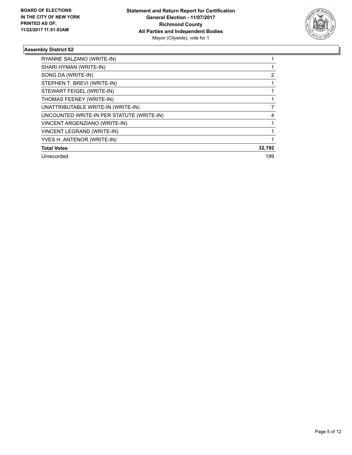

| RYANNE SALZANO (WRITE-IN)                 |        |
|-------------------------------------------|--------|
| SHARI HYMAN (WRITE-IN)                    |        |
| SONG DA (WRITE-IN)                        | 2      |
| STEPHEN T. BREVI (WRITE-IN)               |        |
| STEWART FEIGEL (WRITE-IN)                 |        |
| THOMAS FEENEY (WRITE-IN)                  |        |
| UNATTRIBUTABLE WRITE-IN (WRITE-IN)        | 7      |
| UNCOUNTED WRITE-IN PER STATUTE (WRITE-IN) | 4      |
| VINCENT ARGENZIANO (WRITE-IN)             |        |
| VINCENT LEGRAND (WRITE-IN)                |        |
| YVES H. ANTENOR (WRITE-IN)                |        |
| <b>Total Votes</b>                        | 32,192 |
| Unrecorded                                | 199    |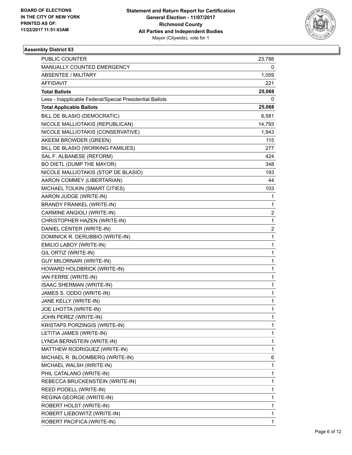

| <b>PUBLIC COUNTER</b>                                    | 23,788 |
|----------------------------------------------------------|--------|
| MANUALLY COUNTED EMERGENCY                               | 0      |
| ABSENTEE / MILITARY                                      | 1,059  |
| AFFIDAVIT                                                | 221    |
| <b>Total Ballots</b>                                     | 25,068 |
| Less - Inapplicable Federal/Special Presidential Ballots | 0      |
| <b>Total Applicable Ballots</b>                          | 25,068 |
| BILL DE BLASIO (DEMOCRATIC)                              | 6,581  |
| NICOLE MALLIOTAKIS (REPUBLICAN)                          | 14,793 |
| NICOLE MALLIOTAKIS (CONSERVATIVE)                        | 1,943  |
| AKEEM BROWDER (GREEN)                                    | 115    |
| BILL DE BLASIO (WORKING FAMILIES)                        | 277    |
| SAL F. ALBANESE (REFORM)                                 | 424    |
| BO DIETL (DUMP THE MAYOR)                                | 348    |
| NICOLE MALLIOTAKIS (STOP DE BLASIO)                      | 193    |
| AARON COMMEY (LIBERTARIAN)                               | 44     |
| MICHAEL TOLKIN (SMART CITIES)                            | 103    |
| AARON JUDGE (WRITE-IN)                                   | 1      |
| <b>BRANDY FRANKEL (WRITE-IN)</b>                         | 1      |
| CARMINE ANGIOLI (WRITE-IN)                               | 2      |
| CHRISTOPHER HAZEN (WRITE-IN)                             | 1      |
| DANIEL CENTER (WRITE-IN)                                 | 2      |
| DOMINICK R. DERUBBIO (WRITE-IN)                          | 1      |
| EMILIO LABOY (WRITE-IN)                                  | 1      |
| GIL ORTIZ (WRITE-IN)                                     | 1      |
| <b>GUY MILORNARI (WRITE-IN)</b>                          | 1      |
| HOWARD HOLDBRICK (WRITE-IN)                              | 1      |
| IAN FERRE (WRITE-IN)                                     | 1      |
| <b>ISAAC SHERMAN (WRITE-IN)</b>                          | 1      |
| JAMES S. ODDO (WRITE-IN)                                 | 1      |
| JANE KELLY (WRITE-IN)                                    | 1      |
| JOE LHOTTA (WRITE-IN)                                    | 1      |
| JOHN PEREZ (WRITE-IN)                                    | 1      |
| KRISTAPS PORZINGIS (WRITE-IN)                            | 1      |
| LETITIA JAMES (WRITE-IN)                                 | 1      |
| LYNDA BERNSTEIN (WRITE-IN)                               | 1      |
| MATTHEW RODRIGUEZ (WRITE-IN)                             | 1      |
| MICHAEL R. BLOOMBERG (WRITE-IN)                          | 6      |
| MICHAEL WALSH (WRITE-IN)                                 | 1      |
| PHIL CATALANO (WRITE-IN)                                 | 1      |
| REBECCA BRUCKENSTEIN (WRITE-IN)                          | 1      |
| REED PODELL (WRITE-IN)                                   | 1      |
| REGINA GEORGE (WRITE-IN)                                 | 1      |
| ROBERT HOLST (WRITE-IN)                                  | 1      |
| ROBERT LIEBOWITZ (WRITE-IN)                              | 1      |
| ROBERT PACIFICA (WRITE-IN)                               | 1      |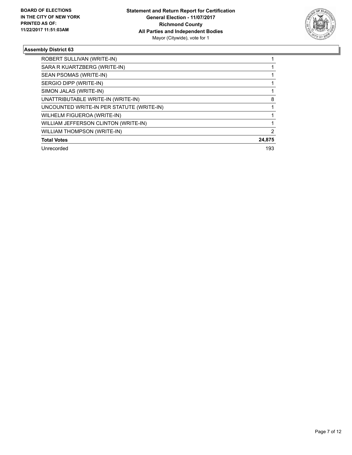

| ROBERT SULLIVAN (WRITE-IN)                |        |
|-------------------------------------------|--------|
| SARA R KUARTZBERG (WRITE-IN)              |        |
| SEAN PSOMAS (WRITE-IN)                    |        |
| SERGIO DIPP (WRITE-IN)                    |        |
| SIMON JALAS (WRITE-IN)                    |        |
| UNATTRIBUTABLE WRITE-IN (WRITE-IN)        | 8      |
| UNCOUNTED WRITE-IN PER STATUTE (WRITE-IN) |        |
| WILHELM FIGUEROA (WRITE-IN)               |        |
| WILLIAM JEFFERSON CLINTON (WRITE-IN)      |        |
| <b>WILLIAM THOMPSON (WRITE-IN)</b>        | 2      |
| <b>Total Votes</b>                        | 24,875 |
| Unrecorded                                | 193    |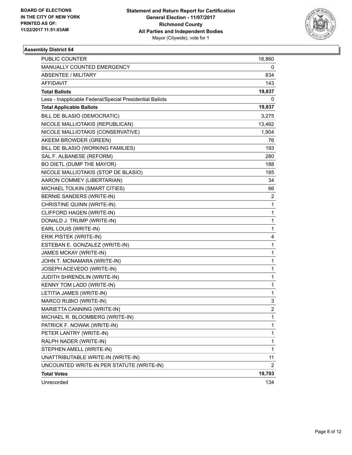

| PUBLIC COUNTER                                           | 18,860         |
|----------------------------------------------------------|----------------|
| MANUALLY COUNTED EMERGENCY                               | 0              |
| <b>ABSENTEE / MILITARY</b>                               | 834            |
| AFFIDAVIT                                                | 143            |
| <b>Total Ballots</b>                                     | 19,837         |
| Less - Inapplicable Federal/Special Presidential Ballots | 0              |
| <b>Total Applicable Ballots</b>                          | 19,837         |
| BILL DE BLASIO (DEMOCRATIC)                              | 3,275          |
| NICOLE MALLIOTAKIS (REPUBLICAN)                          | 13,462         |
| NICOLE MALLIOTAKIS (CONSERVATIVE)                        | 1,904          |
| AKEEM BROWDER (GREEN)                                    | 76             |
| BILL DE BLASIO (WORKING FAMILIES)                        | 193            |
| SAL F. ALBANESE (REFORM)                                 | 280            |
| BO DIETL (DUMP THE MAYOR)                                | 188            |
| NICOLE MALLIOTAKIS (STOP DE BLASIO)                      | 185            |
| AARON COMMEY (LIBERTARIAN)                               | 34             |
| MICHAEL TOLKIN (SMART CITIES)                            | 66             |
| <b>BERNIE SANDERS (WRITE-IN)</b>                         | 2              |
| CHRISTINE QUINN (WRITE-IN)                               | 1              |
| CLIFFORD HAGEN (WRITE-IN)                                | 1              |
| DONALD J. TRUMP (WRITE-IN)                               | 1              |
| EARL LOUIS (WRITE-IN)                                    | 1              |
| ERIK PISTEK (WRITE-IN)                                   | 4              |
| ESTEBAN E. GONZALEZ (WRITE-IN)                           | 1              |
| JAMES MCKAY (WRITE-IN)                                   | 1              |
| JOHN T. MCNAMARA (WRITE-IN)                              | 1              |
| JOSEPH ACEVEDO (WRITE-IN)                                | 1              |
| JUDITH SHRENDLIN (WRITE-IN)                              | 1              |
| KENNY TOM LADD (WRITE-IN)                                | 1              |
| LETITIA JAMES (WRITE-IN)                                 | 1              |
| MARCO RUBIO (WRITE-IN)                                   | 3              |
| MARIETTA CANNING (WRITE-IN)                              | $\overline{2}$ |
| MICHAEL R. BLOOMBERG (WRITE-IN)                          | 1              |
| PATRICK F. NOWAK (WRITE-IN)                              | 1              |
| PETER LANTRY (WRITE-IN)                                  | 1              |
| RALPH NADER (WRITE-IN)                                   | 1              |
| STEPHEN AMELL (WRITE-IN)                                 | 1              |
| UNATTRIBUTABLE WRITE-IN (WRITE-IN)                       | 11             |
| UNCOUNTED WRITE-IN PER STATUTE (WRITE-IN)                | 2              |
| <b>Total Votes</b>                                       | 19,703         |
| Unrecorded                                               | 134            |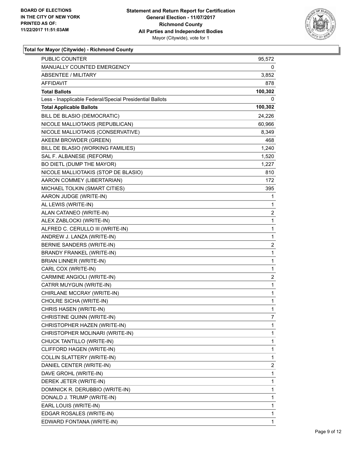

| <b>PUBLIC COUNTER</b>                                    | 95,572                  |
|----------------------------------------------------------|-------------------------|
| MANUALLY COUNTED EMERGENCY                               | 0                       |
| <b>ABSENTEE / MILITARY</b>                               | 3,852                   |
| AFFIDAVIT                                                | 878                     |
| <b>Total Ballots</b>                                     | 100,302                 |
| Less - Inapplicable Federal/Special Presidential Ballots | 0                       |
| <b>Total Applicable Ballots</b>                          | 100,302                 |
| BILL DE BLASIO (DEMOCRATIC)                              | 24,226                  |
| NICOLE MALLIOTAKIS (REPUBLICAN)                          | 60,966                  |
| NICOLE MALLIOTAKIS (CONSERVATIVE)                        | 8,349                   |
| AKEEM BROWDER (GREEN)                                    | 468                     |
| BILL DE BLASIO (WORKING FAMILIES)                        | 1,240                   |
| SAL F. ALBANESE (REFORM)                                 | 1,520                   |
| BO DIETL (DUMP THE MAYOR)                                | 1,227                   |
| NICOLE MALLIOTAKIS (STOP DE BLASIO)                      | 810                     |
| AARON COMMEY (LIBERTARIAN)                               | 172                     |
| MICHAEL TOLKIN (SMART CITIES)                            | 395                     |
| AARON JUDGE (WRITE-IN)                                   | 1                       |
| AL LEWIS (WRITE-IN)                                      | 1                       |
| ALAN CATANEO (WRITE-IN)                                  | $\overline{\mathbf{c}}$ |
| ALEX ZABLOCKI (WRITE-IN)                                 | 1                       |
| ALFRED C. CERULLO III (WRITE-IN)                         | 1                       |
| ANDREW J. LANZA (WRITE-IN)                               | 1                       |
| BERNIE SANDERS (WRITE-IN)                                | 2                       |
| BRANDY FRANKEL (WRITE-IN)                                | $\mathbf 1$             |
| BRIAN LINNER (WRITE-IN)                                  | 1                       |
| CARL COX (WRITE-IN)                                      | 1                       |
| CARMINE ANGIOLI (WRITE-IN)                               | $\overline{\mathbf{c}}$ |
| CATRR MUYGUN (WRITE-IN)                                  | 1                       |
| CHIRLANE MCCRAY (WRITE-IN)                               | 1                       |
| CHOLRE SICHA (WRITE-IN)                                  | 1                       |
| CHRIS HASEN (WRITE-IN)                                   | $\mathbf{1}$            |
| CHRISTINE QUINN (WRITE-IN)                               | 7                       |
| CHRISTOPHER HAZEN (WRITE-IN)                             | 1                       |
| CHRISTOPHER MOLINARI (WRITE-IN)                          | 1                       |
| CHUCK TANTILLO (WRITE-IN)                                | 1                       |
| CLIFFORD HAGEN (WRITE-IN)                                | 1                       |
| COLLIN SLATTERY (WRITE-IN)                               | 1                       |
| DANIEL CENTER (WRITE-IN)                                 | 2                       |
| DAVE GROHL (WRITE-IN)                                    | 1                       |
| DEREK JETER (WRITE-IN)                                   | 1                       |
| DOMINICK R. DERUBBIO (WRITE-IN)                          | 1                       |
| DONALD J. TRUMP (WRITE-IN)                               | 1                       |
| EARL LOUIS (WRITE-IN)                                    | 1                       |
| EDGAR ROSALES (WRITE-IN)                                 | 1                       |
| EDWARD FONTANA (WRITE-IN)                                | 1                       |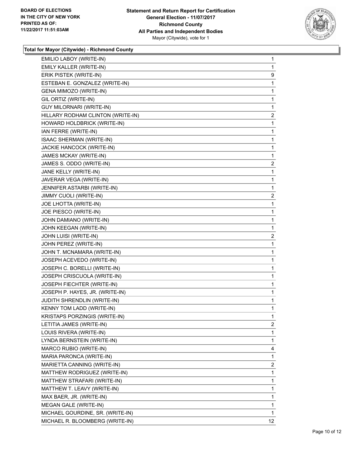

| EMILIO LABOY (WRITE-IN)           | 1                 |
|-----------------------------------|-------------------|
| EMILY KALLER (WRITE-IN)           | 1                 |
| ERIK PISTEK (WRITE-IN)            | 9                 |
| ESTEBAN E. GONZALEZ (WRITE-IN)    | 1                 |
| GENA MIMOZO (WRITE-IN)            | 1                 |
| GIL ORTIZ (WRITE-IN)              | 1                 |
| <b>GUY MILORNARI (WRITE-IN)</b>   | 1                 |
| HILLARY RODHAM CLINTON (WRITE-IN) | 2                 |
| HOWARD HOLDBRICK (WRITE-IN)       | 1                 |
| IAN FERRE (WRITE-IN)              | 1                 |
| ISAAC SHERMAN (WRITE-IN)          | 1                 |
| JACKIE HANCOCK (WRITE-IN)         | 1                 |
| JAMES MCKAY (WRITE-IN)            | 1                 |
| JAMES S. ODDO (WRITE-IN)          | 2                 |
| JANE KELLY (WRITE-IN)             | 1                 |
| JAVERAR VEGA (WRITE-IN)           | 1                 |
| JENNIFER ASTARBI (WRITE-IN)       | 1                 |
| JIMMY CUOLI (WRITE-IN)            | 2                 |
| JOE LHOTTA (WRITE-IN)             | 1                 |
| JOE PIESCO (WRITE-IN)             | 1                 |
| JOHN DAMIANO (WRITE-IN)           | 1                 |
| JOHN KEEGAN (WRITE-IN)            | 1                 |
| JOHN LUISI (WRITE-IN)             | 2                 |
| JOHN PEREZ (WRITE-IN)             | 1                 |
| JOHN T. MCNAMARA (WRITE-IN)       | 1                 |
| JOSEPH ACEVEDO (WRITE-IN)         | 1                 |
| JOSEPH C. BORELLI (WRITE-IN)      | 1                 |
| JOSEPH CRISCUOLA (WRITE-IN)       | 1                 |
| JOSEPH FIECHTER (WRITE-IN)        | 1                 |
| JOSEPH P. HAYES, JR. (WRITE-IN)   | 1                 |
| JUDITH SHRENDLIN (WRITE-IN)       | 1                 |
| <b>KENNY TOM LADD (WRITE-IN)</b>  | 1                 |
| KRISTAPS PORZINGIS (WRITE-IN)     | 1                 |
| LETITIA JAMES (WRITE-IN)          | 2                 |
| LOUIS RIVERA (WRITE-IN)           | 1                 |
| LYNDA BERNSTEIN (WRITE-IN)        | 1                 |
| MARCO RUBIO (WRITE-IN)            | 4                 |
| MARIA PARONCA (WRITE-IN)          | 1                 |
| MARIETTA CANNING (WRITE-IN)       | 2                 |
| MATTHEW RODRIGUEZ (WRITE-IN)      | 1                 |
| MATTHEW STRAFARI (WRITE-IN)       | 1                 |
| MATTHEW T. LEAVY (WRITE-IN)       | 1                 |
| MAX BAER, JR. (WRITE-IN)          | 1                 |
| MEGAN GALE (WRITE-IN)             | 1                 |
| MICHAEL GOURDINE, SR. (WRITE-IN)  | 1                 |
| MICHAEL R. BLOOMBERG (WRITE-IN)   | $12 \overline{ }$ |
|                                   |                   |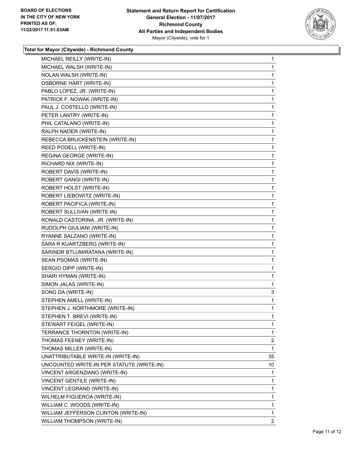

| MICHAEL REILLY (WRITE-IN)                 | 1            |
|-------------------------------------------|--------------|
| MICHAEL WALSH (WRITE-IN)                  | 1            |
| NOLAN WALSH (WRITE-IN)                    | 1            |
| <b>OSBORNE HART (WRITE-IN)</b>            | 1            |
| PABLO LOPEZ, JR. (WRITE-IN)               | 1            |
| PATRICK F. NOWAK (WRITE-IN)               | 1            |
| PAUL J. COSTELLO (WRITE-IN)               | 1            |
| PETER LANTRY (WRITE-IN)                   | 1            |
| PHIL CATALANO (WRITE-IN)                  | 1            |
| RALPH NADER (WRITE-IN)                    | 1            |
| REBECCA BRUCKENSTEIN (WRITE-IN)           | 1            |
| REED PODELL (WRITE-IN)                    | 1            |
| REGINA GEORGE (WRITE-IN)                  | 1            |
| RICHARD NIX (WRITE-IN)                    | 1            |
| ROBERT DAVIS (WRITE-IN)                   | 1            |
| ROBERT GANGI (WRITE-IN)                   | 1            |
| ROBERT HOLST (WRITE-IN)                   | 1            |
| ROBERT LIEBOWITZ (WRITE-IN)               | 1            |
| ROBERT PACIFICA (WRITE-IN)                | 1            |
| ROBERT SULLIVAN (WRITE-IN)                | 1            |
| RONALD CASTORINA, JR. (WRITE-IN)          | 1            |
| RUDOLPH GIULIANI (WRITE-IN)               | 1            |
| RYANNE SALZANO (WRITE-IN)                 | 1            |
| SARA R KUARTZBERG (WRITE-IN)              | 1            |
| SARINDR BTLUMIRATANA (WRITE-IN)           | 1            |
| SEAN PSOMAS (WRITE-IN)                    | 1            |
| SERGIO DIPP (WRITE-IN)                    | 1            |
| SHARI HYMAN (WRITE-IN)                    | 1            |
| SIMON JALAS (WRITE-IN)                    | 1            |
| SONG DA (WRITE-IN)                        | 3            |
| STEPHEN AMELL (WRITE-IN)                  | 1            |
| STEPHEN J. NORTHMORE (WRITE-IN)           | 1            |
| STEPHEN T. BREVI (WRITE-IN)               | 1            |
| STEWART FEIGEL (WRITE-IN)                 | 1            |
| TERRANCE THORNTON (WRITE-IN)              | 1            |
| THOMAS FEENEY (WRITE-IN)                  | 2            |
| THOMAS MILLER (WRITE-IN)                  | 1            |
| UNATTRIBUTABLE WRITE-IN (WRITE-IN)        | 35           |
| UNCOUNTED WRITE-IN PER STATUTE (WRITE-IN) | 10           |
| VINCENT ARGENZIANO (WRITE-IN)             | 1            |
| <b>VINCENT GENTILE (WRITE-IN)</b>         | 1            |
| VINCENT LEGRAND (WRITE-IN)                | 1            |
| WILHELM FIGUEROA (WRITE-IN)               | 1            |
| WILLIAM C. WOODS (WRITE-IN)               | 1            |
| WILLIAM JEFFERSON CLINTON (WRITE-IN)      | 1            |
| WILLIAM THOMPSON (WRITE-IN)               | $\mathbf{2}$ |